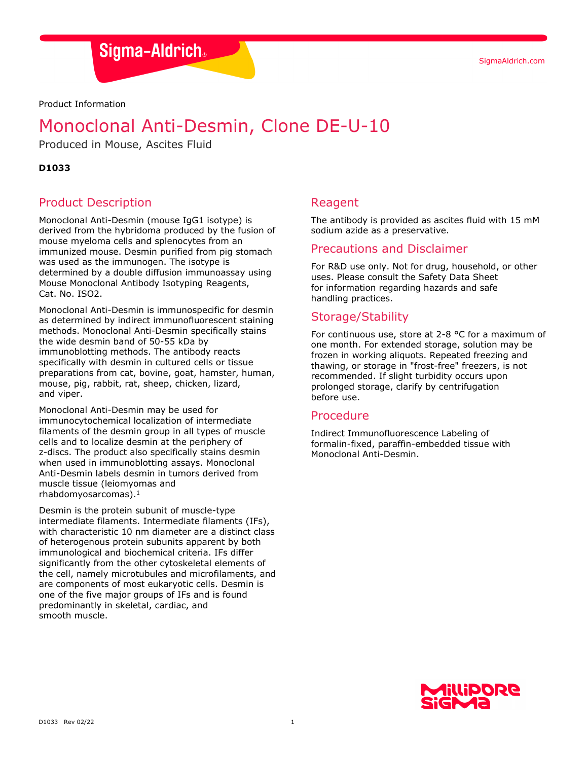SigmaAldrich.com

Sigma-Aldrich.

Product Information

# Monoclonal Anti-Desmin, Clone DE-U-10

Produced in Mouse, Ascites Fluid

## **D1033**

## Product Description

Monoclonal Anti-Desmin (mouse IgG1 isotype) is derived from the hybridoma produced by the fusion of mouse myeloma cells and splenocytes from an immunized mouse. Desmin purified from pig stomach was used as the immunogen. The isotype is determined by a double diffusion immunoassay using Mouse Monoclonal Antibody Isotyping Reagents, Cat. No. ISO2.

Monoclonal Anti-Desmin is immunospecific for desmin as determined by indirect immunofluorescent staining methods. Monoclonal Anti-Desmin specifically stains the wide desmin band of 50-55 kDa by immunoblotting methods. The antibody reacts specifically with desmin in cultured cells or tissue preparations from cat, bovine, goat, hamster, human, mouse, pig, rabbit, rat, sheep, chicken, lizard, and viper.

Monoclonal Anti-Desmin may be used for immunocytochemical localization of intermediate filaments of the desmin group in all types of muscle cells and to localize desmin at the periphery of z-discs. The product also specifically stains desmin when used in immunoblotting assays. Monoclonal Anti-Desmin labels desmin in tumors derived from muscle tissue (leiomyomas and rhabdomyosarcomas).1

Desmin is the protein subunit of muscle-type intermediate filaments. Intermediate filaments (IFs), with characteristic 10 nm diameter are a distinct class of heterogenous protein subunits apparent by both immunological and biochemical criteria. IFs differ significantly from the other cytoskeletal elements of the cell, namely microtubules and microfilaments, and are components of most eukaryotic cells. Desmin is one of the five major groups of IFs and is found predominantly in skeletal, cardiac, and smooth muscle.

## Reagent

The antibody is provided as ascites fluid with 15 mM sodium azide as a preservative.

## Precautions and Disclaimer

For R&D use only. Not for drug, household, or other uses. Please consult the Safety Data Sheet for information regarding hazards and safe handling practices.

# Storage/Stability

For continuous use, store at 2-8 °C for a maximum of one month. For extended storage, solution may be frozen in working aliquots. Repeated freezing and thawing, or storage in "frost-free" freezers, is not recommended. If slight turbidity occurs upon prolonged storage, clarify by centrifugation before use.

## Procedure

Indirect Immunofluorescence Labeling of formalin-fixed, paraffin-embedded tissue with Monoclonal Anti-Desmin.

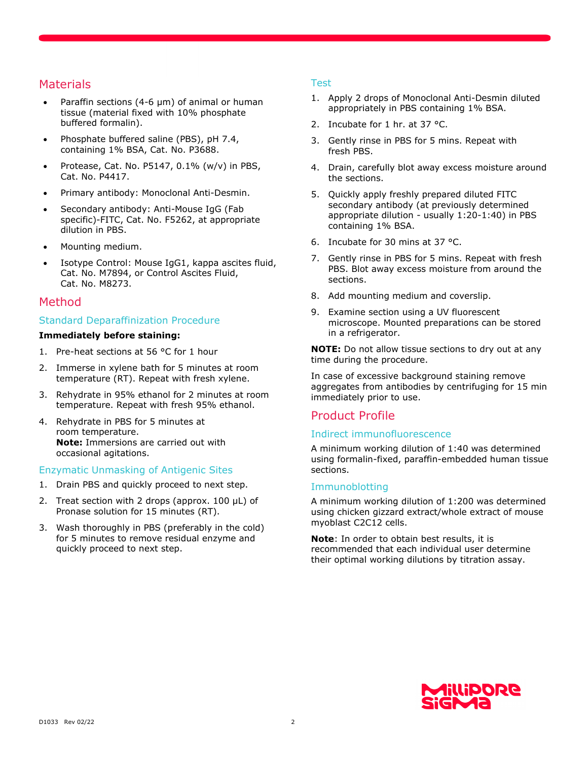## **Materials**

- Paraffin sections (4-6 µm) of animal or human tissue (material fixed with 10% phosphate buffered formalin).
- Phosphate buffered saline (PBS), pH 7.4, containing 1% BSA, Cat. No. P3688.
- Protease, Cat. No.  $P5147, 0.1\%$  (w/v) in PBS, Cat. No. P4417.
- Primary antibody: Monoclonal Anti-Desmin.
- Secondary antibody: Anti-Mouse IgG (Fab specific)-FITC, Cat. No. F5262, at appropriate dilution in PBS.
- Mounting medium.
- Isotype Control: Mouse IgG1, kappa ascites fluid, Cat. No. M7894, or Control Ascites Fluid, Cat. No. M8273.

## Method

#### Standard Deparaffinization Procedure

#### **Immediately before staining:**

- 1. Pre-heat sections at 56 °C for 1 hour
- 2. Immerse in xylene bath for 5 minutes at room temperature (RT). Repeat with fresh xylene.
- 3. Rehydrate in 95% ethanol for 2 minutes at room temperature. Repeat with fresh 95% ethanol.
- 4. Rehydrate in PBS for 5 minutes at room temperature. **Note:** Immersions are carried out with occasional agitations.

Enzymatic Unmasking of Antigenic Sites

- 1. Drain PBS and quickly proceed to next step.
- 2. Treat section with 2 drops (approx. 100 µL) of Pronase solution for 15 minutes (RT).
- 3. Wash thoroughly in PBS (preferably in the cold) for 5 minutes to remove residual enzyme and quickly proceed to next step.

#### Test

- 1. Apply 2 drops of Monoclonal Anti-Desmin diluted appropriately in PBS containing 1% BSA.
- 2. Incubate for 1 hr. at 37 °C.
- 3. Gently rinse in PBS for 5 mins. Repeat with fresh PBS.
- 4. Drain, carefully blot away excess moisture around the sections.
- 5. Quickly apply freshly prepared diluted FITC secondary antibody (at previously determined appropriate dilution - usually 1:20-1:40) in PBS containing 1% BSA.
- 6. Incubate for 30 mins at 37 °C.
- 7. Gently rinse in PBS for 5 mins. Repeat with fresh PBS. Blot away excess moisture from around the sections.
- 8. Add mounting medium and coverslip.
- 9. Examine section using a UV fluorescent microscope. Mounted preparations can be stored in a refrigerator.

**NOTE:** Do not allow tissue sections to dry out at any time during the procedure.

In case of excessive background staining remove aggregates from antibodies by centrifuging for 15 min immediately prior to use.

## Product Profile

## Indirect immunofluorescence

A minimum working dilution of 1:40 was determined using formalin-fixed, paraffin-embedded human tissue sections.

#### Immunoblotting

A minimum working dilution of 1:200 was determined using chicken gizzard extract/whole extract of mouse myoblast C2C12 cells.

**Note**: In order to obtain best results, it is recommended that each individual user determine their optimal working dilutions by titration assay.